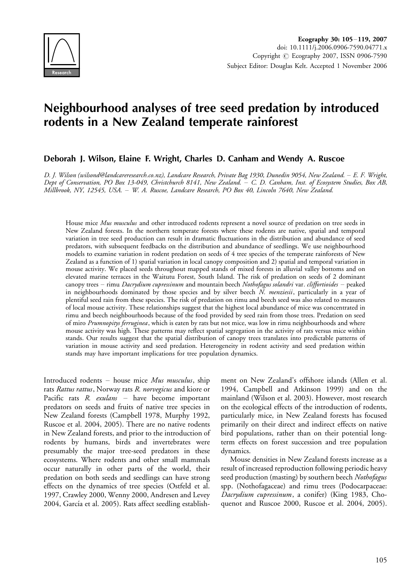

# Neighbourhood analyses of tree seed predation by introduced rodents in a New Zealand temperate rainforest

# Deborah J. Wilson, Elaine F. Wright, Charles D. Canham and Wendy A. Ruscoe

D. J. Wilson (wilsond@landcareresearch.co.nz), Landcare Research, Private Bag 1930, Dunedin 9054, New Zealand. E. F. Wright, Dept of Conservation, PO Box 13-049, Christchurch 8141, New Zealand. C. D. Canham, Inst. of Ecosystem Studies, Box AB, Millbrook, NY, 12545, USA. W. A. Ruscoe, Landcare Research, PO Box 40, Lincoln 7640, New Zealand.

House mice Mus musculus and other introduced rodents represent a novel source of predation on tree seeds in New Zealand forests. In the northern temperate forests where these rodents are native, spatial and temporal variation in tree seed production can result in dramatic fluctuations in the distribution and abundance of seed predators, with subsequent feedbacks on the distribution and abundance of seedlings. We use neighbourhood models to examine variation in rodent predation on seeds of 4 tree species of the temperate rainforests of New Zealand as a function of 1) spatial variation in local canopy composition and 2) spatial and temporal variation in mouse activity. We placed seeds throughout mapped stands of mixed forests in alluvial valley bottoms and on elevated marine terraces in the Waitutu Forest, South Island. The risk of predation on seeds of 2 dominant canopy trees - rimu Dacrydium cupressinum and mountain beech Nothofagus solandri var. cliffortioides - peaked in neighbourhoods dominated by those species and by silver beech  $N$ . menziesii, particularly in a year of plentiful seed rain from these species. The risk of predation on rimu and beech seed was also related to measures of local mouse activity. These relationships suggest that the highest local abundance of mice was concentrated in rimu and beech neighbourhoods because of the food provided by seed rain from those trees. Predation on seed of miro Prumnopitys ferruginea, which is eaten by rats but not mice, was low in rimu neighbourhoods and where mouse activity was high. These patterns may reflect spatial segregation in the activity of rats versus mice within stands. Our results suggest that the spatial distribution of canopy trees translates into predictable patterns of variation in mouse activity and seed predation. Heterogeneity in rodent activity and seed predation within stands may have important implications for tree population dynamics.

Introduced rodents  $-$  house mice Mus musculus, ship rats Rattus rattus, Norway rats R. norvegicus and kiore or Pacific rats  $R$ . exulans - have become important predators on seeds and fruits of native tree species in New Zealand forests (Campbell 1978, Murphy 1992, Ruscoe et al. 2004, 2005). There are no native rodents in New Zealand forests, and prior to the introduction of rodents by humans, birds and invertebrates were presumably the major tree-seed predators in these ecosystems. Where rodents and other small mammals occur naturally in other parts of the world, their predation on both seeds and seedlings can have strong effects on the dynamics of tree species (Ostfeld et al. 1997, Crawley 2000, Wenny 2000, Andresen and Levey 2004, García et al. 2005). Rats affect seedling establish-

ment on New Zealand's offshore islands (Allen et al. 1994, Campbell and Atkinson 1999) and on the mainland (Wilson et al. 2003). However, most research on the ecological effects of the introduction of rodents, particularly mice, in New Zealand forests has focused primarily on their direct and indirect effects on native bird populations, rather than on their potential longterm effects on forest succession and tree population dynamics.

Mouse densities in New Zealand forests increase as a result of increased reproduction following periodic heavy seed production (masting) by southern beech Nothofagus spp. (Nothofagaceae) and rimu trees (Podocarpaceae: Dacrydium cupressinum, a conifer) (King 1983, Choquenot and Ruscoe 2000, Ruscoe et al. 2004, 2005).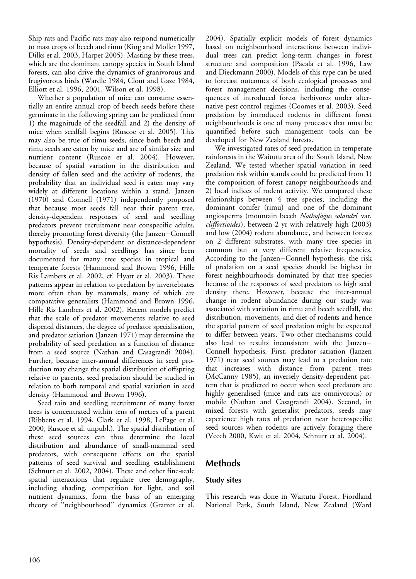Ship rats and Pacific rats may also respond numerically to mast crops of beech and rimu (King and Moller 1997, Dilks et al. 2003, Harper 2005). Masting by these trees, which are the dominant canopy species in South Island forests, can also drive the dynamics of granivorous and frugivorous birds (Wardle 1984, Clout and Gaze 1984, Elliott et al. 1996, 2001, Wilson et al. 1998).

Whether a population of mice can consume essentially an entire annual crop of beech seeds before these germinate in the following spring can be predicted from 1) the magnitude of the seedfall and 2) the density of mice when seedfall begins (Ruscoe et al. 2005). This may also be true of rimu seeds, since both beech and rimu seeds are eaten by mice and are of similar size and nutrient content (Ruscoe et al. 2004). However, because of spatial variation in the distribution and density of fallen seed and the activity of rodents, the probability that an individual seed is eaten may vary widely at different locations within a stand. Janzen (1970) and Connell (1971) independently proposed that because most seeds fall near their parent tree, density-dependent responses of seed and seedling predators prevent recruitment near conspecific adults, thereby promoting forest diversity (the Janzen–Connell hypothesis). Density-dependent or distance-dependent mortality of seeds and seedlings has since been documented for many tree species in tropical and temperate forests (Hammond and Brown 1996, Hille Ris Lambers et al. 2002, cf. Hyatt et al. 2003). These patterns appear in relation to predation by invertebrates more often than by mammals, many of which are comparative generalists (Hammond and Brown 1996, Hille Ris Lambers et al. 2002). Recent models predict that the scale of predator movements relative to seed dispersal distances, the degree of predator specialisation, and predator satiation (Janzen 1971) may determine the probability of seed predation as a function of distance from a seed source (Nathan and Casagrandi 2004). Further, because inter-annual differences in seed production may change the spatial distribution of offspring relative to parents, seed predation should be studied in relation to both temporal and spatial variation in seed density (Hammond and Brown 1996).

Seed rain and seedling recruitment of many forest trees is concentrated within tens of metres of a parent (Ribbens et al. 1994, Clark et al. 1998, LePage et al. 2000, Ruscoe et al. unpubl.). The spatial distribution of these seed sources can thus determine the local distribution and abundance of small-mammal seed predators, with consequent effects on the spatial patterns of seed survival and seedling establishment (Schnurr et al. 2002, 2004). These and other fine-scale spatial interactions that regulate tree demography, including shading, competition for light, and soil nutrient dynamics, form the basis of an emerging theory of ''neighbourhood'' dynamics (Gratzer et al.

2004). Spatially explicit models of forest dynamics based on neighbourhood interactions between individual trees can predict long-term changes in forest structure and composition (Pacala et al. 1996, Law and Dieckmann 2000). Models of this type can be used to forecast outcomes of both ecological processes and forest management decisions, including the consequences of introduced forest herbivores under alternative pest control regimes (Coomes et al. 2003). Seed predation by introduced rodents in different forest neighbourhoods is one of many processes that must be quantified before such management tools can be developed for New Zealand forests.

We investigated rates of seed predation in temperate rainforests in the Waitutu area of the South Island, New Zealand. We tested whether spatial variation in seed predation risk within stands could be predicted from 1) the composition of forest canopy neighbourhoods and 2) local indices of rodent activity. We compared these relationships between 4 tree species, including the dominant conifer (rimu) and one of the dominant angiosperms (mountain beech Nothofagus solandri var. cliffortioides), between 2 yr with relatively high (2003) and low (2004) rodent abundance, and between forests on 2 different substrates, with many tree species in common but at very different relative frequencies. According to the Janzen-Connell hypothesis, the risk of predation on a seed species should be highest in forest neighbourhoods dominated by that tree species because of the responses of seed predators to high seed density there. However, because the inter-annual change in rodent abundance during our study was associated with variation in rimu and beech seedfall, the distribution, movements, and diet of rodents and hence the spatial pattern of seed predation might be expected to differ between years. Two other mechanisms could also lead to results inconsistent with the Janzen Connell hypothesis. First, predator satiation (Janzen 1971) near seed sources may lead to a predation rate that increases with distance from parent trees (McCanny 1985), an inversely density-dependent pattern that is predicted to occur when seed predators are highly generalised (mice and rats are omnivorous) or mobile (Nathan and Casagrandi 2004). Second, in mixed forests with generalist predators, seeds may experience high rates of predation near heterospecific seed sources when rodents are actively foraging there (Veech 2000, Kwit et al. 2004, Schnurr et al. 2004).

# Methods

# Study sites

This research was done in Waitutu Forest, Fiordland National Park, South Island, New Zealand (Ward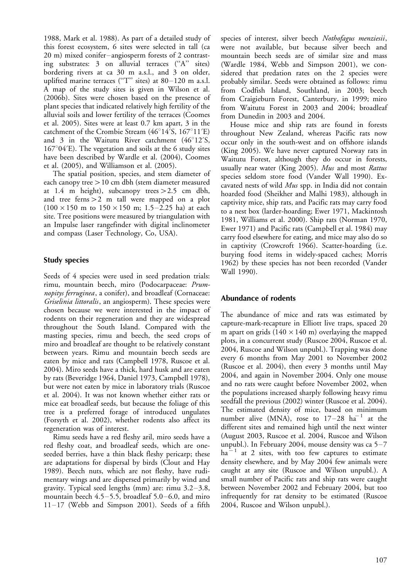1988, Mark et al. 1988). As part of a detailed study of this forest ecosystem, 6 sites were selected in tall (ca 20 m) mixed conifer-angiosperm forests of 2 contrasting substrates: 3 on alluvial terraces ("A" sites) bordering rivers at ca 30 m a.s.l., and 3 on older, uplifted marine terraces ("T" sites) at  $80-120$  m a.s.l. A map of the study sites is given in Wilson et al. (2006b). Sites were chosen based on the presence of plant species that indicated relatively high fertility of the alluvial soils and lower fertility of the terraces (Coomes et al. 2005). Sites were at least 0.7 km apart, 3 in the catchment of the Crombie Stream  $(46^{\circ}14'S, 167^{\circ}11'E)$ and 3 in the Waitutu River catchment  $(46^{\circ}12^{\prime}S,$  $167^{\circ}04'E$ ). The vegetation and soils at the 6 study sites have been described by Wardle et al. (2004), Coomes et al. (2005), and Williamson et al. (2005).

The spatial position, species, and stem diameter of each canopy tree  $>10$  cm dbh (stem diameter measured at  $1.4$  m height), subcanopy trees  $>2.5$  cm dbh, and tree ferns $>2$  m tall were mapped on a plot  $(100 \times 150 \text{ m}$  to  $150 \times 150 \text{ m}$ ; 1.5-2.25 ha) at each site. Tree positions were measured by triangulation with an Impulse laser rangefinder with digital inclinometer and compass (Laser Technology, Co, USA).

#### Study species

Seeds of 4 species were used in seed predation trials: rimu, mountain beech, miro (Podocarpaceae: Prumnopitys ferruginea, a conifer), and broadleaf (Cornaceae: Griselinia littoralis, an angiosperm). These species were chosen because we were interested in the impact of rodents on their regeneration and they are widespread throughout the South Island. Compared with the masting species, rimu and beech, the seed crops of miro and broadleaf are thought to be relatively constant between years. Rimu and mountain beech seeds are eaten by mice and rats (Campbell 1978, Ruscoe et al. 2004). Miro seeds have a thick, hard husk and are eaten by rats (Beveridge 1964, Daniel 1973, Campbell 1978), but were not eaten by mice in laboratory trials (Ruscoe et al. 2004). It was not known whether either rats or mice eat broadleaf seeds, but because the foliage of this tree is a preferred forage of introduced ungulates (Forsyth et al. 2002), whether rodents also affect its regeneration was of interest.

Rimu seeds have a red fleshy aril, miro seeds have a red fleshy coat, and broadleaf seeds, which are oneseeded berries, have a thin black fleshy pericarp; these are adaptations for dispersal by birds (Clout and Hay 1989). Beech nuts, which are not fleshy, have rudimentary wings and are dispersed primarily by wind and gravity. Typical seed lengths (mm) are: rimu  $3.2-3.8$ , mountain beech  $4.5-5.5$ , broadleaf  $5.0-6.0$ , and miro  $11-17$  (Webb and Simpson 2001). Seeds of a fifth species of interest, silver beech Nothofagus menziesii, were not available, but because silver beech and mountain beech seeds are of similar size and mass (Wardle 1984, Webb and Simpson 2001), we considered that predation rates on the 2 species were probably similar. Seeds were obtained as follows: rimu from Codfish Island, Southland, in 2003; beech from Craigieburn Forest, Canterbury, in 1999; miro from Waitutu Forest in 2003 and 2004; broadleaf from Dunedin in 2003 and 2004.

House mice and ship rats are found in forests throughout New Zealand, whereas Pacific rats now occur only in the south-west and on offshore islands (King 2005). We have never captured Norway rats in Waitutu Forest, although they do occur in forests, usually near water (King 2005). Mus and most Rattus species seldom store food (Vander Wall 1990). Excavated nests of wild Mus spp. in India did not contain hoarded food (Sheikher and Malhi 1983), although in captivity mice, ship rats, and Pacific rats may carry food to a nest box (larder-hoarding; Ewer 1971, Mackintosh 1981, Williams et al. 2000). Ship rats (Norman 1970, Ewer 1971) and Pacific rats (Campbell et al. 1984) may carry food elsewhere for eating, and mice may also do so in captivity (Crowcroft 1966). Scatter-hoarding (i.e. burying food items in widely-spaced caches; Morris 1962) by these species has not been recorded (Vander Wall 1990).

#### Abundance of rodents

The abundance of mice and rats was estimated by capture-mark-recapture in Elliott live traps, spaced 20 m apart on grids ( $140 \times 140$  m) overlaying the mapped plots, in a concurrent study (Ruscoe 2004, Ruscoe et al. 2004, Ruscoe and Wilson unpubl.). Trapping was done every 6 months from May 2001 to November 2002 (Ruscoe et al. 2004), then every 3 months until May 2004, and again in November 2004. Only one mouse and no rats were caught before November 2002, when the populations increased sharply following heavy rimu seedfall the previous (2002) winter (Ruscoe et al. 2004). The estimated density of mice, based on minimum number alive (MNA), rose to  $17-28$  ha<sup>-1</sup> at the different sites and remained high until the next winter (August 2003, Ruscoe et al. 2004, Ruscoe and Wilson unpubl.). In February 2004, mouse density was ca  $5-7$  $ha^{-1}$  at 2 sites, with too few captures to estimate density elsewhere, and by May 2004 few animals were caught at any site (Ruscoe and Wilson unpubl.). A small number of Pacific rats and ship rats were caught between November 2002 and February 2004, but too infrequently for rat density to be estimated (Ruscoe 2004, Ruscoe and Wilson unpubl.).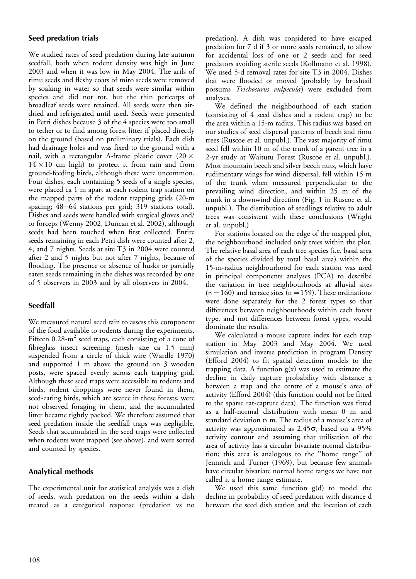### Seed predation trials

We studied rates of seed predation during late autumn seedfall, both when rodent density was high in June 2003 and when it was low in May 2004. The arils of rimu seeds and fleshy coats of miro seeds were removed by soaking in water so that seeds were similar within species and did not rot, but the thin pericarps of broadleaf seeds were retained. All seeds were then airdried and refrigerated until used. Seeds were presented in Petri dishes because 3 of the 4 species were too small to tether or to find among forest litter if placed directly on the ground (based on preliminary trials). Each dish had drainage holes and was fixed to the ground with a nail, with a rectangular A-frame plastic cover (20  $\times$  $14 \times 10$  cm high) to protect it from rain and from ground-feeding birds, although these were uncommon. Four dishes, each containing 5 seeds of a single species, were placed ca 1 m apart at each rodent trap station on the mapped parts of the rodent trapping grids (20-m spacing;  $48-64$  stations per grid; 319 stations total). Dishes and seeds were handled with surgical gloves and/ or forceps (Wenny 2002, Duncan et al. 2002), although seeds had been touched when first collected. Entire seeds remaining in each Petri dish were counted after 2, 4, and 7 nights. Seeds at site T3 in 2004 were counted after 2 and 5 nights but not after 7 nights, because of flooding. The presence or absence of husks or partially eaten seeds remaining in the dishes was recorded by one of 5 observers in 2003 and by all observers in 2004.

# Seedfall

We measured natural seed rain to assess this component of the food available to rodents during the experiments. Fifteen  $0.28 \text{ m}^2$  seed traps, each consisting of a cone of fibreglass insect screening (mesh size ca 1.5 mm) suspended from a circle of thick wire (Wardle 1970) and supported 1 m above the ground on 3 wooden posts, were spaced evenly across each trapping grid. Although these seed traps were accessible to rodents and birds, rodent droppings were never found in them, seed-eating birds, which are scarce in these forests, were not observed foraging in them, and the accumulated litter became tightly packed. We therefore assumed that seed predation inside the seedfall traps was negligible. Seeds that accumulated in the seed traps were collected when rodents were trapped (see above), and were sorted and counted by species.

#### Analytical methods

The experimental unit for statistical analysis was a dish of seeds, with predation on the seeds within a dish treated as a categorical response (predation vs no predation). A dish was considered to have escaped predation for 7 d if 3 or more seeds remained, to allow for accidental loss of one or 2 seeds and for seed predators avoiding sterile seeds (Kollmann et al. 1998). We used 5-d removal rates for site T3 in 2004. Dishes that were flooded or moved (probably by brushtail possums Trichosurus vulpecula) were excluded from analyses.

We defined the neighbourhood of each station (consisting of 4 seed dishes and a rodent trap) to be the area within a 15-m radius. This radius was based on our studies of seed dispersal patterns of beech and rimu trees (Ruscoe et al. unpubl.). The vast majority of rimu seed fell within 10 m of the trunk of a parent tree in a 2-yr study at Waitutu Forest (Ruscoe et al. unpubl.). Most mountain beech and silver beech nuts, which have rudimentary wings for wind dispersal, fell within 15 m of the trunk when measured perpendicular to the prevailing wind direction, and within 25 m of the trunk in a downwind direction (Fig. 1 in Ruscoe et al. unpubl.). The distribution of seedlings relative to adult trees was consistent with these conclusions (Wright et al. unpubl.)

For stations located on the edge of the mapped plot, the neighbourhood included only trees within the plot. The relative basal area of each tree species (i.e. basal area of the species divided by total basal area) within the 15-m-radius neighbourhood for each station was used in principal components analyses (PCA) to describe the variation in tree neighbourhoods at alluvial sites  $(n=160)$  and terrace sites  $(n=159)$ . These ordinations were done separately for the 2 forest types so that differences between neighbourhoods within each forest type, and not differences between forest types, would dominate the results.

We calculated a mouse capture index for each trap station in May 2003 and May 2004. We used simulation and inverse prediction in program Density (Efford 2004) to fit spatial detection models to the trapping data. A function  $g(x)$  was used to estimate the decline in daily capture probability with distance x between a trap and the centre of a mouse's area of activity (Efford 2004) (this function could not be fitted to the sparse rat-capture data). The function was fitted as a half-normal distribution with mean 0 m and standard deviation  $\sigma$  m. The radius of a mouse's area of activity was approximated as  $2.45\sigma$ , based on a 95% activity contour and assuming that utilisation of the area of activity has a circular bivariate normal distribution; this area is analogous to the ''home range'' of Jennrich and Turner (1969), but because few animals have circular bivariate normal home ranges we have not called it a home range estimate.

We used this same function g(d) to model the decline in probability of seed predation with distance d between the seed dish station and the location of each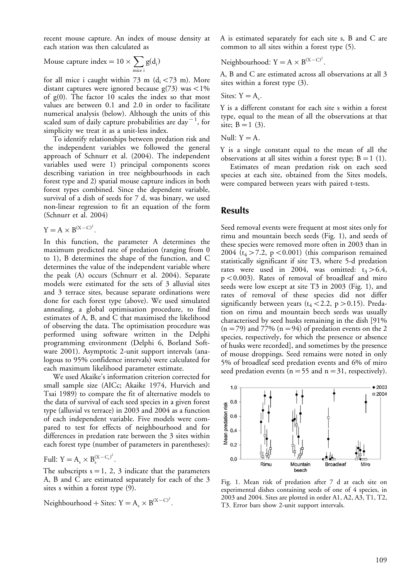recent mouse capture. An index of mouse density at each station was then calculated as

$$
Mouse\ capture\ index = 10 \times \sum_{micie\ i} g(d_i)
$$

for all mice i caught within 73 m  $(d_i < 73$  m). More distant captures were ignored because  $g(73)$  was  $\lt 1\%$ of g(0). The factor 10 scales the index so that most values are between 0.1 and 2.0 in order to facilitate numerical analysis (below). Although the units of this scaled sum of daily capture probabilities are day $^{-1}\!,$  for simplicity we treat it as a unit-less index.

To identify relationships between predation risk and the independent variables we followed the general approach of Schnurr et al. (2004). The independent variables used were 1) principal components scores describing variation in tree neighbourhoods in each forest type and 2) spatial mouse capture indices in both forest types combined. Since the dependent variable, survival of a dish of seeds for 7 d, was binary, we used non-linear regression to fit an equation of the form (Schnurr et al. 2004)

$$
Y = A \times B^{(X - C)^2}.
$$

In this function, the parameter A determines the maximum predicted rate of predation (ranging from 0 to 1), B determines the shape of the function, and C determines the value of the independent variable where the peak (A) occurs (Schnurr et al. 2004). Separate models were estimated for the sets of 3 alluvial sites and 3 terrace sites, because separate ordinations were done for each forest type (above). We used simulated annealing, a global optimisation procedure, to find estimates of A, B, and C that maximised the likelihood of observing the data. The optimisation procedure was performed using software written in the Delphi programming environment (Delphi 6, Borland Software 2001). Asymptotic 2-unit support intervals (analogous to 95% confidence intervals) were calculated for each maximum likelihood parameter estimate.

We used Akaike's information criterion corrected for small sample size (AICc; Akaike 1974, Hurvich and Tsai 1989) to compare the fit of alternative models to the data of survival of each seed species in a given forest type (alluvial vs terrace) in 2003 and 2004 as a function of each independent variable. Five models were compared to test for effects of neighbourhood and for differences in predation rate between the 3 sites within each forest type (number of parameters in parentheses):

Full: 
$$
Y = A_s \times B_s^{(X - C_s)^2}
$$
.

The subscripts  $s = 1, 2, 3$  indicate that the parameters A, B and C are estimated separately for each of the 3 sites s within a forest type (9).

Neighbourhood + Sites:  $Y = A_s \times B^{(X-C)^2}$ .

A is estimated separately for each site s, B and C are common to all sites within a forest type (5).

Neighbourhood: 
$$
Y = A \times B^{(X-C)^2}
$$
.

A, B and C are estimated across all observations at all 3 sites within a forest type (3).

$$
Sttes: Y = As.
$$

Y is a different constant for each site s within a forest type, equal to the mean of all the observations at that site;  $B = 1$  (3).

Null:  $Y = A$ .

Y is a single constant equal to the mean of all the observations at all sites within a forest type;  $B = 1$  (1).

Estimates of mean predation risk on each seed species at each site, obtained from the Sites models, were compared between years with paired t-tests.

# Results

Seed removal events were frequent at most sites only for rimu and mountain beech seeds (Fig. 1), and seeds of these species were removed more often in 2003 than in 2004 ( $t_4$  > 7.2, p < 0.001) (this comparison remained statistically significant if site T3, where 5-d predation rates were used in 2004, was omitted:  $t_3 > 6.4$ ,  $p < 0.003$ ). Rates of removal of broadleaf and miro seeds were low except at site T3 in 2003 (Fig. 1), and rates of removal of these species did not differ significantly between years ( $t_4 < 2.2$ , p > 0.15). Predation on rimu and mountain beech seeds was usually characterised by seed husks remaining in the dish [91%  $(n=79)$  and 77%  $(n=94)$  of predation events on the 2 species, respectively, for which the presence or absence of husks were recorded], and sometimes by the presence of mouse droppings. Seed remains were noted in only 5% of broadleaf seed predation events and 6% of miro seed predation events ( $n=55$  and  $n=31$ , respectively).



Fig. 1. Mean risk of predation after 7 d at each site on experimental dishes containing seeds of one of 4 species, in 2003 and 2004. Sites are plotted in order A1, A2, A3, T1, T2, T3. Error bars show 2-unit support intervals.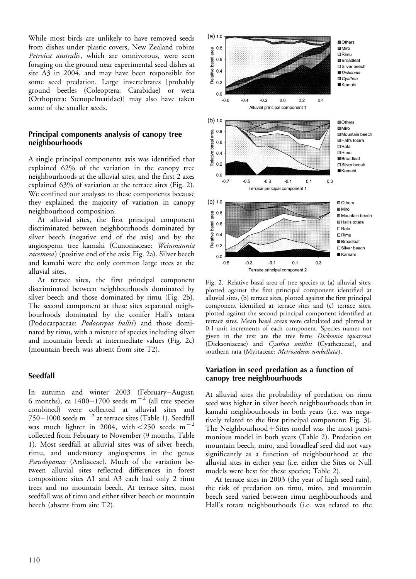While most birds are unlikely to have removed seeds from dishes under plastic covers, New Zealand robins Petroica australis, which are omnivorous, were seen foraging on the ground near experimental seed dishes at site A3 in 2004, and may have been responsible for some seed predation. Large invertebrates [probably ground beetles (Coleoptera: Carabidae) or weta (Orthoptera: Stenopelmatidae)] may also have taken some of the smaller seeds.

#### Principal components analysis of canopy tree neighbourhoods

A single principal components axis was identified that explained 62% of the variation in the canopy tree neighbourhoods at the alluvial sites, and the first 2 axes explained 63% of variation at the terrace sites (Fig. 2). We confined our analyses to these components because they explained the majority of variation in canopy neighbourhood composition.

At alluvial sites, the first principal component discriminated between neighbourhoods dominated by silver beech (negative end of the axis) and by the angiosperm tree kamahi (Cunoniaceae: Weinmannia racemosa) (positive end of the axis; Fig. 2a). Silver beech and kamahi were the only common large trees at the alluvial sites.

At terrace sites, the first principal component discriminated between neighbourhoods dominated by silver beech and those dominated by rimu (Fig. 2b). The second component at these sites separated neighbourhoods dominated by the conifer Hall's totara (Podocarpaceae: Podocarpus hallii) and those dominated by rimu, with a mixture of species including silver and mountain beech at intermediate values (Fig. 2c) (mountain beech was absent from site T2).

#### Seedfall

In autumn and winter 2003 (February-August, 6 months), ca  $1400-1700$  seeds m<sup>-2</sup> (all tree species combined) were collected at alluvial sites and  $750-1000$  seeds m<sup>-2</sup> at terrace sites (Table 1). Seedfall was much lighter in 2004, with  $\lt$  250 seeds m<sup>-2</sup> collected from February to November (9 months, Table 1). Most seedfall at alluvial sites was of silver beech, rimu, and understorey angiosperms in the genus Pseudopanax (Araliaceae). Much of the variation between alluvial sites reflected differences in forest composition: sites A1 and A3 each had only 2 rimu trees and no mountain beech. At terrace sites, most seedfall was of rimu and either silver beech or mountain beech (absent from site T2).



Fig. 2. Relative basal area of tree species at (a) alluvial sites, plotted against the first principal component identified at alluvial sites, (b) terrace sites, plotted against the first principal component identified at terrace sites and (c) terrace sites, plotted against the second principal component identified at terrace sites. Mean basal areas were calculated and plotted at 0.1-unit increments of each component. Species names not given in the text are the tree ferns Dicksonia squarrosa (Dicksoniaceae) and Cyathea smithii (Cyatheaceae), and southern rata (Myrtaceae: Metrosideros umbellata).

#### Variation in seed predation as a function of canopy tree neighbourhoods

At alluvial sites the probability of predation on rimu seed was higher in silver beech neighbourhoods than in kamahi neighbourhoods in both years (i.e. was negatively related to the first principal component; Fig. 3). The Neighbourhood  $+$  Sites model was the most parsimonious model in both years (Table 2). Predation on mountain beech, miro, and broadleaf seed did not vary significantly as a function of neighbourhood at the alluvial sites in either year (i.e. either the Sites or Null models were best for these species; Table 2).

At terrace sites in 2003 (the year of high seed rain), the risk of predation on rimu, miro, and mountain beech seed varied between rimu neighbourhoods and Hall's totara neighbourhoods (i.e. was related to the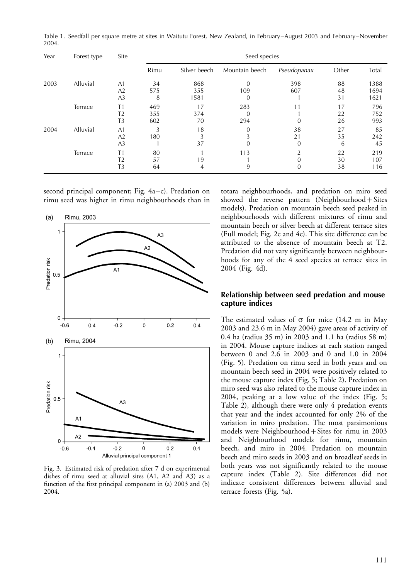Table 1. Seedfall per square metre at sites in Waitutu Forest, New Zealand, in February-August 2003 and February-November 2004.

| Year | Forest type | Site                                               | Seed species      |                      |                                   |                                |                |                      |  |  |
|------|-------------|----------------------------------------------------|-------------------|----------------------|-----------------------------------|--------------------------------|----------------|----------------------|--|--|
|      |             |                                                    | Rimu              | Silver beech         | Mountain beech                    | Pseudopanax                    | Other          | Total                |  |  |
| 2003 | Alluvial    | A <sub>1</sub><br>A <sub>2</sub><br>A <sub>3</sub> | 34<br>575<br>8    | 868<br>355<br>1581   | $\overline{0}$<br>109<br>$\Omega$ | 398<br>607                     | 88<br>48<br>31 | 1388<br>1694<br>1621 |  |  |
|      | Terrace     | T1<br>T <sub>2</sub><br>T <sub>3</sub>             | 469<br>355<br>602 | 17<br>374<br>70      | 283<br>$\Omega$<br>294            | 11<br>$\Omega$                 | 17<br>22<br>26 | 796<br>752<br>993    |  |  |
| 2004 | Alluvial    | A <sub>1</sub><br>A <sub>2</sub><br>A <sub>3</sub> | 3<br>180          | 18<br>3<br>37        | $\theta$<br>3<br>$\Omega$         | 38<br>21<br>$\Omega$           | 27<br>35<br>6  | 85<br>242<br>45      |  |  |
|      | Terrace     | T1<br>T <sub>2</sub><br>T3                         | 80<br>57<br>64    | 19<br>$\overline{4}$ | 113<br>9                          | $\overline{2}$<br>$\mathbf{0}$ | 22<br>30<br>38 | 219<br>107<br>116    |  |  |

second principal component; Fig.  $4a-c$ ). Predation on rimu seed was higher in rimu neighbourhoods than in



Fig. 3. Estimated risk of predation after 7 d on experimental dishes of rimu seed at alluvial sites (A1, A2 and A3) as a function of the first principal component in (a) 2003 and (b) 2004.

totara neighbourhoods, and predation on miro seed showed the reverse pattern (Neighbourhood + Sites models). Predation on mountain beech seed peaked in neighbourhoods with different mixtures of rimu and mountain beech or silver beech at different terrace sites (Full model; Fig. 2c and 4c). This site difference can be attributed to the absence of mountain beech at T2. Predation did not vary significantly between neighbourhoods for any of the 4 seed species at terrace sites in 2004 (Fig. 4d).

#### Relationship between seed predation and mouse capture indices

The estimated values of  $\sigma$  for mice (14.2 m in May 2003 and 23.6 m in May 2004) gave areas of activity of 0.4 ha (radius 35 m) in 2003 and 1.1 ha (radius 58 m) in 2004. Mouse capture indices at each station ranged between 0 and 2.6 in 2003 and 0 and 1.0 in 2004 (Fig. 5). Predation on rimu seed in both years and on mountain beech seed in 2004 were positively related to the mouse capture index (Fig. 5; Table 2). Predation on miro seed was also related to the mouse capture index in 2004, peaking at a low value of the index (Fig. 5; Table 2), although there were only 4 predation events that year and the index accounted for only 2% of the variation in miro predation. The most parsimonious models were Neighbourhood + Sites for rimu in  $2003$ and Neighbourhood models for rimu, mountain beech, and miro in 2004. Predation on mountain beech and miro seeds in 2003 and on broadleaf seeds in both years was not significantly related to the mouse capture index (Table 2). Site differences did not indicate consistent differences between alluvial and terrace forests (Fig. 5a).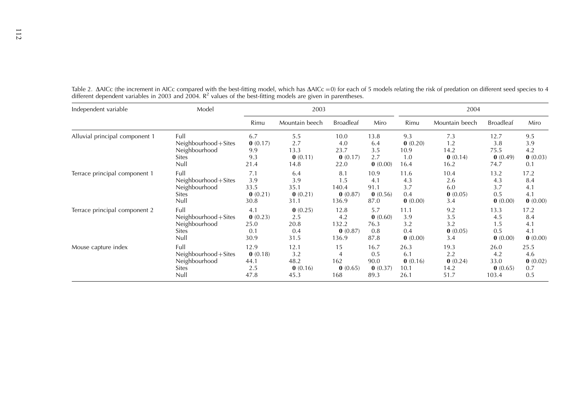| Independent variable           | Model                   | 2003    |                |                  |         | 2004    |                |                  |         |
|--------------------------------|-------------------------|---------|----------------|------------------|---------|---------|----------------|------------------|---------|
|                                |                         | Rimu    | Mountain beech | <b>Broadleaf</b> | Miro    | Rimu    | Mountain beech | <b>Broadleaf</b> | Miro    |
| Alluvial principal component 1 | Full                    | 6.7     | 5.5            | 10.0             | 13.8    | 9.3     | 7.3            | 12.7             | 9.5     |
|                                | $Neighbourhood + Sites$ | 0(0.17) | 2.7            | 4.0              | 6.4     | 0(0.20) | 1.2            | 3.8              | 3.9     |
|                                | Neighbourhood           | 9.9     | 13.3           | 23.7             | 3.5     | 10.9    | 14.2           | 75.5             | 4.2     |
|                                | <b>Sites</b>            | 9.3     | 0(0.11)        | 0(0.17)          | 2.7     | 1.0     | 0(0.14)        | 0(0.49)          | 0(0.03) |
|                                | Null                    | 21.4    | 14.8           | 22.0             | 0(0.00) | 16.4    | 16.2           | 74.7             | 0.1     |
| Terrace principal component 1  | Full                    | 7.1     | 6.4            | 8.1              | 10.9    | 11.6    | 10.4           | 13.2             | 17.2    |
|                                | $Neighbourhood + Sites$ | 3.9     | 3.9            | 1.5              | 4.1     | 4.3     | 2.6            | 4.3              | 8.4     |
|                                | Neighbourhood           | 33.5    | 35.1           | 140.4            | 91.1    | 3.7     | 6.0            | 3.7              | 4.1     |
|                                | <b>Sites</b>            | 0(0.21) | 0(0.21)        | 0(0.87)          | 0(0.56) | 0.4     | 0(0.05)        | 0.5              | 4.1     |
|                                | Null                    | 30.8    | 31.1           | 136.9            | 87.0    | 0(0.00) | 3.4            | 0(0.00)          | 0(0.00) |
| Terrace principal component 2  | Full                    | 4.1     | 0(0.25)        | 12.8             | 5.7     | 11.1    | 9.2            | 13.3             | 17.2    |
|                                | $Neighbourhood + Sites$ | 0(0.23) | 2.5            | 4.2              | 0(0.60) | 3.9     | 3.5            | 4.5              | 8.4     |
|                                | Neighbourhood           | 25.0    | 20.8           | 132.2            | 76.3    | 3.2     | 3.2            | 1.5              | 4.1     |
|                                | <b>Sites</b>            | 0.1     | 0.4            | 0(0.87)          | 0.8     | 0.4     | 0(0.05)        | 0.5              | 4.1     |
|                                | Null                    | 30.9    | 31.5           | 136.9            | 87.8    | 0(0.00) | 3.4            | 0(0.00)          | 0(0.00) |
| Mouse capture index            | Full                    | 12.9    | 12.1           | 15               | 16.7    | 26.3    | 19.3           | 26.0             | 25.5    |
|                                | Neighbourhood + Sites   | 0(0.18) | 3.2            | $\overline{4}$   | 0.5     | 6.1     | 2.2            | 4.2              | 4.6     |
|                                | Neighbourhood           | 44.1    | 48.2           | 162              | 90.0    | 0(0.16) | 0(0.24)        | 33.0             | 0(0.02) |
|                                | <b>Sites</b>            | 2.5     | 0(0.16)        | 0(0.65)          | 0(0.37) | 10.1    | 14.2           | 0(0.65)          | 0.7     |
|                                | Null                    | 47.8    | 45.3           | 168              | 89.3    | 26.1    | 51.7           | 103.4            | 0.5     |

Table 2. ∆AICc (the increment in AICc compared with the best-fitting model, which has ∆AICc =0) for each of 5 models relating the risk of predation on different seed species to 4<br>different dependent variables in 2003 and 2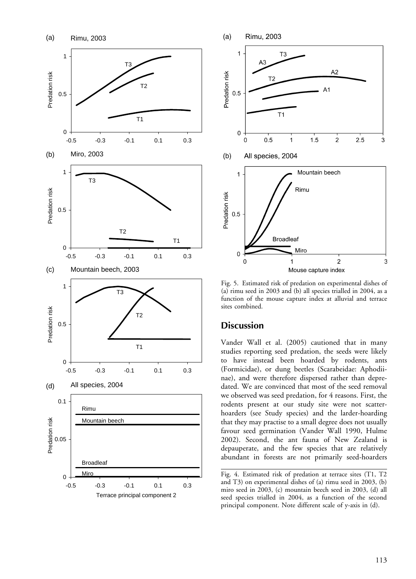



Fig. 5. Estimated risk of predation on experimental dishes of (a) rimu seed in 2003 and (b) all species trialled in 2004, as a function of the mouse capture index at alluvial and terrace sites combined.

# **Discussion**

Vander Wall et al. (2005) cautioned that in many studies reporting seed predation, the seeds were likely to have instead been hoarded by rodents, ants (Formicidae), or dung beetles (Scarabeidae: Aphodiinae), and were therefore dispersed rather than depredated. We are convinced that most of the seed removal we observed was seed predation, for 4 reasons. First, the rodents present at our study site were not scatterhoarders (see Study species) and the larder-hoarding that they may practise to a small degree does not usually favour seed germination (Vander Wall 1990, Hulme 2002). Second, the ant fauna of New Zealand is depauperate, and the few species that are relatively abundant in forests are not primarily seed-hoarders

Fig. 4. Estimated risk of predation at terrace sites (T1, T2 and T3) on experimental dishes of (a) rimu seed in 2003, (b) miro seed in 2003, (c) mountain beech seed in 2003, (d) all seed species trialled in 2004, as a function of the second principal component. Note different scale of y-axis in (d).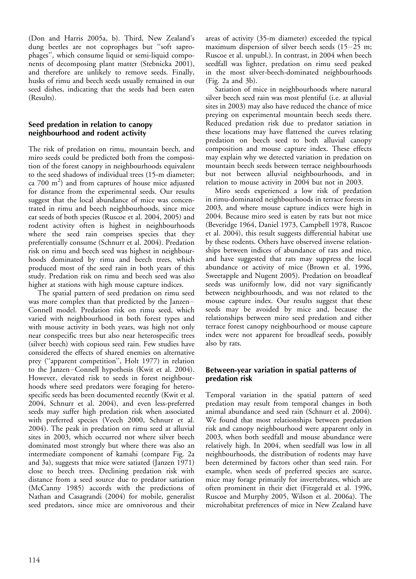(Don and Harris 2005a, b). Third, New Zealand's dung beetles are not coprophages but ''soft saprophages'', which consume liquid or semi-liquid components of decomposing plant matter (Stebnicka 2001), and therefore are unlikely to remove seeds. Finally, husks of rimu and beech seeds usually remained in our seed dishes, indicating that the seeds had been eaten (Results).

#### Seed predation in relation to canopy neighbourhood and rodent activity

The risk of predation on rimu, mountain beech, and miro seeds could be predicted both from the composition of the forest canopy in neighbourhoods equivalent to the seed shadows of individual trees (15-m diameter; ca  $700 \text{ m}^2$ ) and from captures of house mice adjusted for distance from the experimental seeds. Our results suggest that the local abundance of mice was concentrated in rimu and beech neighbourhoods, since mice eat seeds of both species (Ruscoe et al. 2004, 2005) and rodent activity often is highest in neighbourhoods where the seed rain comprises species that they preferentially consume (Schnurr et al. 2004). Predation risk on rimu and beech seed was highest in neighbourhoods dominated by rimu and beech trees, which produced most of the seed rain in both years of this study. Predation risk on rimu and beech seed was also higher at stations with high mouse capture indices.

The spatial pattern of seed predation on rimu seed was more complex than that predicted by the Janzen Connell model. Predation risk on rimu seed, which varied with neighbourhood in both forest types and with mouse activity in both years, was high not only near conspecific trees but also near heterospecific trees (silver beech) with copious seed rain. Few studies have considered the effects of shared enemies on alternative prey (''apparent competition'', Holt 1977) in relation to the Janzen-Connell hypothesis (Kwit et al. 2004). However, elevated risk to seeds in forest neighbourhoods where seed predators were foraging for heterospecific seeds has been documented recently (Kwit et al. 2004, Schnurr et al. 2004), and even less-preferred seeds may suffer high predation risk when associated with preferred species (Veech 2000, Schnurr et al. 2004). The peak in predation on rimu seed at alluvial sites in 2003, which occurred not where silver beech dominated most strongly but where there was also an intermediate component of kamahi (compare Fig. 2a and 3a), suggests that mice were satiated (Janzen 1971) close to beech trees. Declining predation risk with distance from a seed source due to predator satiation (McCanny 1985) accords with the predictions of Nathan and Casagrandi (2004) for mobile, generalist seed predators, since mice are omnivorous and their areas of activity (35-m diameter) exceeded the typical maximum dispersion of silver beech seeds  $(15-25)$  m; Ruscoe et al. unpubl.). In contrast, in 2004 when beech seedfall was lighter, predation on rimu seed peaked in the most silver-beech-dominated neighbourhoods (Fig. 2a and 3b).

Satiation of mice in neighbourhoods where natural silver beech seed rain was most plentiful (i.e. at alluvial sites in 2003) may also have reduced the chance of mice preying on experimental mountain beech seeds there. Reduced predation risk due to predator satiation in these locations may have flattened the curves relating predation on beech seed to both alluvial canopy composition and mouse capture index. These effects may explain why we detected variation in predation on mountain beech seeds between terrace neighbourhoods but not between alluvial neighbourhoods, and in relation to mouse activity in 2004 but not in 2003.

Miro seeds experienced a low risk of predation in rimu-dominated neighbourhoods in terrace forests in 2003, and where mouse capture indices were high in 2004. Because miro seed is eaten by rats but not mice (Beveridge 1964, Daniel 1973, Campbell 1978, Ruscoe et al. 2004), this result suggests differential habitat use by these rodents. Others have observed inverse relationships between indices of abundance of rats and mice, and have suggested that rats may suppress the local abundance or activity of mice (Brown et al. 1996, Sweetapple and Nugent 2005). Predation on broadleaf seeds was uniformly low, did not vary significantly between neighbourhoods, and was not related to the mouse capture index. Our results suggest that these seeds may be avoided by mice and, because the relationships between miro seed predation and either terrace forest canopy neighbourhood or mouse capture index were not apparent for broadleaf seeds, possibly also by rats.

### Between-year variation in spatial patterns of predation risk

Temporal variation in the spatial pattern of seed predation may result from temporal changes in both animal abundance and seed rain (Schnurr et al. 2004). We found that most relationships between predation risk and canopy neighbourhood were apparent only in 2003, when both seedfall and mouse abundance were relatively high. In 2004, when seedfall was low in all neighbourhoods, the distribution of rodents may have been determined by factors other than seed rain. For example, when seeds of preferred species are scarce, mice may forage primarily for invertebrates, which are often prominent in their diet (Fitzgerald et al. 1996, Ruscoe and Murphy 2005, Wilson et al. 2006a). The microhabitat preferences of mice in New Zealand have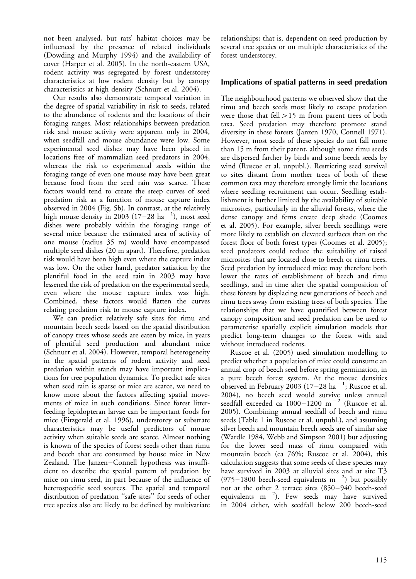not been analysed, but rats' habitat choices may be influenced by the presence of related individuals (Dowding and Murphy 1994) and the availability of cover (Harper et al. 2005). In the north-eastern USA, rodent activity was segregated by forest understorey characteristics at low rodent density but by canopy characteristics at high density (Schnurr et al. 2004).

Our results also demonstrate temporal variation in the degree of spatial variability in risk to seeds, related to the abundance of rodents and the locations of their foraging ranges. Most relationships between predation risk and mouse activity were apparent only in 2004, when seedfall and mouse abundance were low. Some experimental seed dishes may have been placed in locations free of mammalian seed predators in 2004, whereas the risk to experimental seeds within the foraging range of even one mouse may have been great because food from the seed rain was scarce. These factors would tend to create the steep curves of seed predation risk as a function of mouse capture index observed in 2004 (Fig. 5b). In contrast, at the relatively high mouse density in 2003 (17–28  $ha^{-1}$ ), most seed dishes were probably within the foraging range of several mice because the estimated area of activity of one mouse (radius 35 m) would have encompassed multiple seed dishes (20 m apart). Therefore, predation risk would have been high even where the capture index was low. On the other hand, predator satiation by the plentiful food in the seed rain in 2003 may have lessened the risk of predation on the experimental seeds, even where the mouse capture index was high. Combined, these factors would flatten the curves relating predation risk to mouse capture index.

We can predict relatively safe sites for rimu and mountain beech seeds based on the spatial distribution of canopy trees whose seeds are eaten by mice, in years of plentiful seed production and abundant mice (Schnurr et al. 2004). However, temporal heterogeneity in the spatial patterns of rodent activity and seed predation within stands may have important implications for tree population dynamics. To predict safe sites when seed rain is sparse or mice are scarce, we need to know more about the factors affecting spatial movements of mice in such conditions. Since forest litterfeeding lepidopteran larvae can be important foods for mice (Fitzgerald et al. 1996), understorey or substrate characteristics may be useful predictors of mouse activity when suitable seeds are scarce. Almost nothing is known of the species of forest seeds other than rimu and beech that are consumed by house mice in New Zealand. The Janzen-Connell hypothesis was insufficient to describe the spatial pattern of predation by mice on rimu seed, in part because of the influence of heterospecific seed sources. The spatial and temporal distribution of predation ''safe sites'' for seeds of other tree species also are likely to be defined by multivariate

relationships; that is, dependent on seed production by several tree species or on multiple characteristics of the forest understorey.

#### Implications of spatial patterns in seed predation

The neighbourhood patterns we observed show that the rimu and beech seeds most likely to escape predation were those that  $\text{fell} > 15$  m from parent trees of both taxa. Seed predation may therefore promote stand diversity in these forests (Janzen 1970, Connell 1971). However, most seeds of these species do not fall more than 15 m from their parent, although some rimu seeds are dispersed farther by birds and some beech seeds by wind (Ruscoe et al. unpubl.). Restricting seed survival to sites distant from mother trees of both of these common taxa may therefore strongly limit the locations where seedling recruitment can occur. Seedling establishment is further limited by the availability of suitable microsites, particularly in the alluvial forests, where the dense canopy and ferns create deep shade (Coomes et al. 2005). For example, silver beech seedlings were more likely to establish on elevated surfaces than on the forest floor of both forest types (Coomes et al. 2005); seed predators could reduce the suitability of raised microsites that are located close to beech or rimu trees. Seed predation by introduced mice may therefore both lower the rates of establishment of beech and rimu seedlings, and in time alter the spatial composition of these forests by displacing new generations of beech and rimu trees away from existing trees of both species. The relationships that we have quantified between forest canopy composition and seed predation can be used to parameterise spatially explicit simulation models that predict long-term changes to the forest with and without introduced rodents.

Ruscoe et al. (2005) used simulation modelling to predict whether a population of mice could consume an annual crop of beech seed before spring germination, in a pure beech forest system. At the mouse densities observed in February 2003 (17–28 ha<sup>-1</sup>; Ruscoe et al. 2004), no beech seed would survive unless annual seedfall exceeded ca  $1000-1200$  m<sup>-2</sup> (Ruscoe et al. 2005). Combining annual seedfall of beech and rimu seeds (Table 1 in Ruscoe et al. unpubl.), and assuming silver beech and mountain beech seeds are of similar size (Wardle 1984, Webb and Simpson 2001) but adjusting for the lower seed mass of rimu compared with mountain beech (ca 76%; Ruscoe et al. 2004), this calculation suggests that some seeds of these species may have survived in 2003 at alluvial sites and at site T3  $(975-1800$  beech-seed equivalents m<sup>-2</sup>) but possibly not at the other 2 terrace sites  $(850-940$  beech-seed equivalents  $m^{-2}$ ). Few seeds may have survived in 2004 either, with seedfall below 200 beech-seed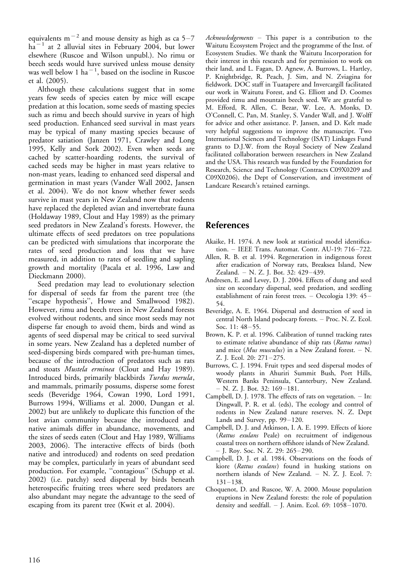equivalents  $m^{-2}$  and mouse density as high as ca 5-7  $ha^{-1}$  at 2 alluvial sites in February 2004, but lower elsewhere (Ruscoe and Wilson unpubl.). No rimu or beech seeds would have survived unless mouse density was well below 1 ha<sup>-1</sup>, based on the isocline in Ruscoe et al. (2005).

Although these calculations suggest that in some years few seeds of species eaten by mice will escape predation at this location, some seeds of masting species such as rimu and beech should survive in years of high seed production. Enhanced seed survival in mast years may be typical of many masting species because of predator satiation (Janzen 1971, Crawley and Long 1995, Kelly and Sork 2002). Even when seeds are cached by scatter-hoarding rodents, the survival of cached seeds may be higher in mast years relative to non-mast years, leading to enhanced seed dispersal and germination in mast years (Vander Wall 2002, Jansen et al. 2004). We do not know whether fewer seeds survive in mast years in New Zealand now that rodents have replaced the depleted avian and invertebrate fauna (Holdaway 1989, Clout and Hay 1989) as the primary seed predators in New Zealand's forests. However, the ultimate effects of seed predators on tree populations can be predicted with simulations that incorporate the rates of seed production and loss that we have measured, in addition to rates of seedling and sapling growth and mortality (Pacala et al. 1996, Law and Dieckmann 2000).

Seed predation may lead to evolutionary selection for dispersal of seeds far from the parent tree (the "escape hypothesis", Howe and Smallwood 1982). However, rimu and beech trees in New Zealand forests evolved without rodents, and since most seeds may not disperse far enough to avoid them, birds and wind as agents of seed dispersal may be critical to seed survival in some years. New Zealand has a depleted number of seed-dispersing birds compared with pre-human times, because of the introduction of predators such as rats and stoats Mustela erminea (Clout and Hay 1989). Introduced birds, primarily blackbirds Turdus merula, and mammals, primarily possums, disperse some forest seeds (Beveridge 1964, Cowan 1990, Lord 1991, Burrows 1994, Williams et al. 2000, Dungan et al. 2002) but are unlikely to duplicate this function of the lost avian community because the introduced and native animals differ in abundance, movements, and the sizes of seeds eaten (Clout and Hay 1989, Williams 2003, 2006). The interactive effects of birds (both native and introduced) and rodents on seed predation may be complex, particularly in years of abundant seed production. For example, "contagious" (Schupp et al. 2002) (i.e. patchy) seed dispersal by birds beneath heterospecific fruiting trees where seed predators are also abundant may negate the advantage to the seed of escaping from its parent tree (Kwit et al. 2004).

 $Acknowledgements$  - This paper is a contribution to the Waitutu Ecosystem Project and the programme of the Inst. of Ecosystem Studies. We thank the Waitutu Incorporation for their interest in this research and for permission to work on their land, and L. Fagan, D. Agnew, A. Burrows, L. Hartley, P. Knightbridge, R. Peach, J. Sim, and N. Zviagina for fieldwork. DOC staff in Tuatapere and Invercargill facilitated our work in Waitutu Forest, and G. Elliott and D. Coomes provided rimu and mountain beech seed. We are grateful to M. Efford, R. Allen, C. Bezar, W. Lee, A. Monks, D. O'Connell, C. Pan, M. Stanley, S. Vander Wall, and J. Wolff for advice and other assistance. P. Jansen, and D. Kelt made very helpful suggestions to improve the manuscript. Two International Sciences and Technology (ISAT) Linkages Fund grants to D.J.W. from the Royal Society of New Zealand facilitated collaboration between researchers in New Zealand and the USA. This research was funded by the Foundation for Research, Science and Technology (Contracts C09X0209 and C09X0206), the Dept of Conservation, and investment of Landcare Research's retained earnings.

# References

- Akaike, H. 1974. A new look at statistical model identification. - IEEE Trans. Automat. Contr. AU-19: 716-722.
- Allen, R. B. et al. 1994. Regeneration in indigenous forest after eradication of Norway rats, Breaksea Island, New Zealand. - N. Z. J. Bot. 32: 429-439.
- Andresen, E. and Levey, D. J. 2004. Effects of dung and seed size on secondary dispersal, seed predation, and seedling establishment of rain forest trees. - Oecologia 139: 45-54.
- Beveridge, A. E. 1964. Dispersal and destruction of seed in central North Island podocarp forests. - Proc. N. Z. Ecol. Soc. 11: 48-55.
- Brown, K. P. et al. 1996. Calibration of tunnel tracking rates to estimate relative abundance of ship rats (Rattus rattus) and mice (Mus musculus) in a New Zealand forest.  $-$  N. Z. J. Ecol. 20: 271-275.
- Burrows, C. J. 1994. Fruit types and seed dispersal modes of woody plants in Ahuriri Summit Bush, Port Hills, Western Banks Peninsula, Canterbury, New Zealand.  $-$  N. Z. J. Bot. 32: 169 $-181$ .
- Campbell, D. J. 1978. The effects of rats on vegetation. In: Dingwall, P. R. et al. (eds), The ecology and control of rodents in New Zealand nature reserves. N. Z. Dept Lands and Survey, pp.  $99-120$ .
- Campbell, D. J. and Atkinson, I. A. E. 1999. Effects of kiore (Rattus exulans Peale) on recruitment of indigenous coastal trees on northern offshore islands of New Zealand. - J. Roy. Soc. N. Z. 29: 265-290.
- Campbell, D. J. et al. 1984. Observations on the foods of kiore (Rattus exulans) found in husking stations on northern islands of New Zealand.  $-$  N. Z. J. Ecol. 7:  $131 - 138.$
- Choquenot, D. and Ruscoe, W. A. 2000. Mouse population eruptions in New Zealand forests: the role of population density and seedfall.  $-$  J. Anim. Ecol. 69: 1058 $-1070$ .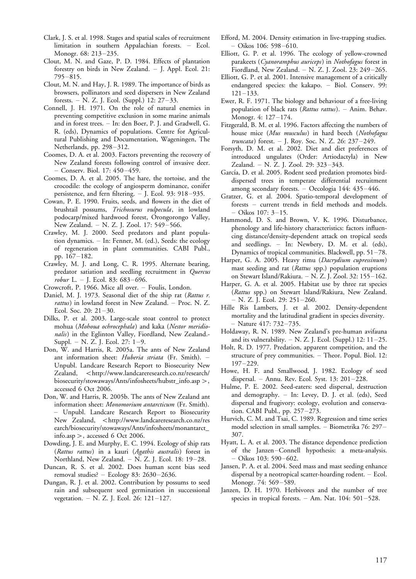- Clark, J. S. et al. 1998. Stages and spatial scales of recruitment limitation in southern Appalachian forests. - Ecol. Monogr. 68: 213-235.
- Clout, M. N. and Gaze, P. D. 1984. Effects of plantation forestry on birds in New Zealand. - J. Appl. Ecol. 21:  $795 - 815.$
- Clout, M. N. and Hay, J. R. 1989. The importance of birds as browsers, pollinators and seed dispersers in New Zealand forests.  $-$  N. Z. J. Ecol. (Suppl.) 12: 27 $-33$ .
- Connell, J. H. 1971. On the role of natural enemies in preventing competitive exclusion in some marine animals and in forest trees. - In: den Boer, P. J. and Gradwell, G. R. (eds), Dynamics of populations. Centre for Agricultural Publishing and Documentation, Wageningen, The Netherlands, pp. 298-312.
- Coomes, D. A. et al. 2003. Factors preventing the recovery of New Zealand forests following control of invasive deer. - Conserv. Biol. 17: 450-459.
- Coomes, D. A. et al. 2005. The hare, the tortoise, and the crocodile: the ecology of angiosperm dominance, conifer persistence, and fern filtering.  $-$  J. Ecol. 93: 918-935.
- Cowan, P. E. 1990. Fruits, seeds, and flowers in the diet of brushtail possums, Trichosurus vulpecula, in lowland podocarp/mixed hardwood forest, Orongorongo Valley, New Zealand. - N. Z. J. Zool. 17: 549-566.
- Crawley, M. J. 2000. Seed predators and plant population dynamics. In: Fenner, M. (ed.), Seeds: the ecology of regeneration in plant communities. CABI Publ., pp.  $167-182$ .
- Crawley, M. J. and Long, C. R. 1995. Alternate bearing, predator satiation and seedling recruitment in Quercus robur L.  $-$  J. Ecol. 83: 683–696.
- Crowcroft, P. 1966. Mice all over. Foulis, London.
- Daniel, M. J. 1973. Seasonal diet of the ship rat (Rattus r. *rattus*) in lowland forest in New Zealand.  $-$  Proc. N. Z. Ecol. Soc. 20: 21-30.
- Dilks, P. et al. 2003. Large-scale stoat control to protect mohua (Mohoua ochrocephala) and kaka (Nestor meridionalis) in the Eglinton Valley, Fiordland, New Zealand.-Suppl. - N. Z. J. Ecol. 27: 1-9.
- Don, W. and Harris, R. 2005a. The ants of New Zealand ant information sheet: Huberia striata (Fr. Smith). -Unpubl. Landcare Research Report to Biosecurity New Zealand, <http://www.landcareresearch.co.nz/research/ biosecurity/stowaways/Ants/infosheets/hubstr\_info.asp/, accessed 6 Oct 2006.
- Don, W. and Harris, R. 2005b. The ants of New Zealand ant information sheet: Monomorium antarcticum (Fr. Smith). Unpubl. Landcare Research Report to Biosecurity New Zealand, <http://www.landcareresearch.co.nz/res earch/biosecurity/stowaways/Ants/infosheets/monantarct\_ info.asp  $>$ , accessed 6 Oct 2006.
- Dowding, J. E. and Murphy, E. C. 1994. Ecology of ship rats (Rattus rattus) in a kauri (Agathis australis) forest in Northland, New Zealand.  $-$  N. Z. J. Ecol. 18: 19 $-28$ .
- Duncan, R. S. et al. 2002. Does human scent bias seed removal studies?  $-$  Ecology 83: 2630-2636.
- Dungan, R. J. et al. 2002. Contribution by possums to seed rain and subsequent seed germination in successional vegetation. - N. Z. J. Ecol. 26: 121-127.

Efford, M. 2004. Density estimation in live-trapping studies. - Oikos 106: 598-610.

Elliott, G. P. et al. 1996. The ecology of yellow-crowned parakeets (Cyanoramphus auriceps) in Nothofagus forest in Fiordland, New Zealand.  $-$  N. Z. J. Zool. 23: 249 $-265$ .

- Elliott, G. P. et al. 2001. Intensive management of a critically endangered species: the kakapo. - Biol. Conserv. 99:  $121 - 133.$
- Ewer, R. F. 1971. The biology and behaviour of a free-living population of black rats (Rattus rattus). - Anim. Behav. Monogr. 4: 127-174.
- Fitzgerald, B. M. et al. 1996. Factors affecting the numbers of house mice (Mus musculus) in hard beech (Nothofagus truncata) forest. - J. Roy. Soc. N. Z. 26: 237-249.
- Forsyth, D. M. et al. 2002. Diet and diet preferences of introduced ungulates (Order: Artiodactyla) in New Zealand. - N. Z. J. Zool. 29: 323-343.
- García, D. et al. 2005. Rodent seed predation promotes birddispersed trees in temperate differential recruitment among secondary forests.  $-$  Oecologia 144: 435-446.
- Gratzer, G. et al. 2004. Spatio-temporal development of forests - current trends in field methods and models.  $-$  Oikos 107: 3-15.
- Hammond, D. S. and Brown, V. K. 1996. Disturbance, phenology and life-history characteristics: factors influencing distance/density-dependent attack on tropical seeds and seedlings. - In: Newbery, D. M. et al. (eds), Dynamics of tropical communities. Blackwell, pp.  $51-78$ .
- Harper, G. A. 2005. Heavy rimu (Dacrydium cupressinum) mast seeding and rat (Rattus spp.) population eruptions on Stewart Island/Rakiura. - N. Z. J. Zool. 32: 155-162.
- Harper, G. A. et al. 2005. Habitat use by three rat species (Rattus spp.) on Stewart Island/Rakiura, New Zealand. - N. Z. J. Ecol. 29: 251–260.
- Hille Ris Lambers, J. et al. 2002. Density-dependent mortality and the latitudinal gradient in species diversity. - Nature 417: 732-735.
- Holdaway, R. N. 1989. New Zealand's pre-human avifauna and its vulnerability.  $- N$ . Z. J. Ecol. (Suppl.) 12:  $11-25$ .
- Holt, R. D. 1977. Predation, apparent competition, and the structure of prey communities. - Theor. Popul. Biol. 12:  $197 - 229.$
- Howe, H. F. and Smallwood, J. 1982. Ecology of seed dispersal. – Annu. Rev. Ecol. Syst.  $13: 201-228$ .
- Hulme, P. E. 2002. Seed-eaters: seed dispersal, destruction and demography.  $-$  In: Levey, D. J. et al. (eds), Seed dispersal and frugivory: ecology, evolution and conservation. CABI Publ., pp. 257-273.
- Hurvich, C. M. and Tsai, C. 1989. Regression and time series model selection in small samples. - Biometrika 76: 297-307.
- Hyatt, L. A. et al. 2003. The distance dependence prediction of the Janzen-Connell hypothesis: a meta-analysis. - Oikos 103: 590-602.
- Jansen, P. A. et al. 2004. Seed mass and mast seeding enhance dispersal by a neotropical scatter-hoarding rodent.  $-$  Ecol. Monogr. 74: 569-589.
- Janzen, D. H. 1970. Herbivores and the number of tree species in tropical forests.  $-$  Am. Nat. 104: 501 $-$ 528.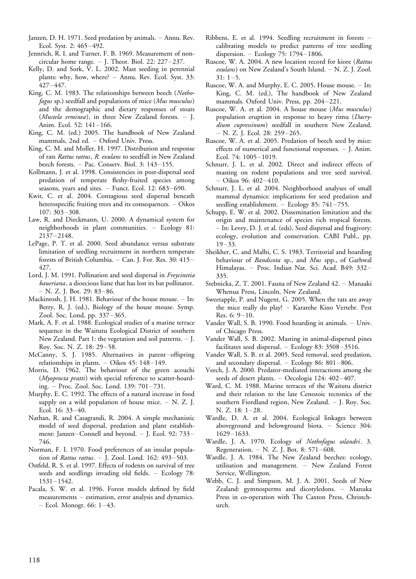- Janzen, D. H. 1971. Seed predation by animals. Annu. Rev. Ecol. Syst. 2: 465-492.
- Jennrich, R. I. and Turner, F. B. 1969. Measurement of noncircular home range.  $-$  J. Theor. Biol. 22: 227 $-237$ .
- Kelly, D. and Sork, V. L. 2002. Mast seeding in perennial plants: why, how, where? - Annu. Rev. Ecol. Syst. 33:  $427 - 447$ .
- King, C. M. 1983. The relationships between beech (Notho*fagus* sp.) seedfall and populations of mice (*Mus musculus*) and the demographic and dietary responses of stoats (*Mustela erminea*), in three New Zealand forests.  $-$  J. Anim. Ecol. 52: 141-166.
- King, C. M. (ed.) 2005. The handbook of New Zealand mammals, 2nd ed. - Oxford Univ. Press.
- King, C. M. and Moller, H. 1997. Distribution and response of rats Rattus rattus, R. exulans to seedfall in New Zealand beech forests.  $-$  Pac. Conserv. Biol. 3:  $143-155$ .
- Kollmann, J. et al. 1998. Consistencies in post-dispersal seed predation of temperate fleshy-fruited species among seasons, years and sites.  $-$  Funct. Ecol. 12:  $683-690$ .
- Kwit, C. et al. 2004. Contagious seed dispersal beneath heterospecific fruiting trees and its consequences.  $-$  Oikos 107: 303-308.
- Law, R. and Dieckmann, U. 2000. A dynamical system for neighborhoods in plant communities. Ecology 81:  $2137 - 2148.$
- LePage, P. T. et al. 2000. Seed abundance versus substrate limitation of seedling recruitment in northern temperate forests of British Columbia. - Can. J. For. Res. 30: 415-427.
- Lord, J. M. 1991. Pollination and seed dispersal in Freycinetia baueriana, a dioecious liane that has lost its bat pollinator. - N. Z. J. Bot. 29: 83-86.
- Mackintosh, J. H. 1981. Behaviour of the house mouse. In: Berry, R. J. (ed.), Biology of the house mouse. Symp. Zool. Soc. Lond, pp. 337-365.
- Mark, A. F. et al. 1988. Ecological studies of a marine terrace sequence in the Waitutu Ecological District of southern New Zealand. Part 1: the vegetation and soil patterns.  $-$  J. Roy. Soc. N. Z. 18: 29-58.
- McCanny, S. J. 1985. Alternatives in parent-offspring relationships in plants.  $-$  Oikos 45: 148-149.
- Morris, D. 1962. The behaviour of the green acouchi (Myoprocta pratti) with special reference to scatter-hoarding. - Proc. Zool. Soc. Lond. 139: 701-731.
- Murphy, E. C. 1992. The effects of a natural increase in food supply on a wild population of house mice.  $-$  N. Z. J. Ecol. 16: 33-40.
- Nathan, R. and Casagrandi, R. 2004. A simple mechanistic model of seed dispersal, predation and plant establishment: Janzen-Connell and beyond. - J. Ecol. 92: 733-746.
- Norman, F. I. 1970. Food preferences of an insular population of Rattus rattus. - J. Zool. Lond. 162:  $493-503$ .
- Ostfeld, R. S. et al. 1997. Effects of rodents on survival of tree seeds and seedlings invading old fields. - Ecology 78:  $1531 - 1542.$
- Pacala, S. W. et al. 1996. Forest models defined by field  $measures - estimation, error analysis and dynamics.$  $-$  Ecol. Monogr. 66: 1–43.
- Ribbens, E. et al. 1994. Seedling recruitment in forests calibrating models to predict patterns of tree seedling dispersion.  $-$  Ecology 75: 1794-1806.
- Ruscoe, W. A. 2004. A new location record for kiore (Rattus  $exulans)$  on New Zealand's South Island.  $-$  N. Z. J. Zool.  $31: 1-5.$
- Ruscoe, W. A. and Murphy, E. C. 2005. House mouse. In: King, C. M. (ed.), The handbook of New Zealand mammals. Oxford Univ. Press, pp. 204-221.
- Ruscoe, W. A. et al. 2004. A house mouse (Mus musculus) population eruption in response to heavy rimu (Dacrydium cupressinum) seedfall in southern New Zealand. - N. Z. J. Ecol. 28: 259-265.
- Ruscoe, W. A. et al. 2005. Predation of beech seed by mice: effects of numerical and functional responses. - J. Anim. Ecol. 74: 1005-1019.
- Schnurr, J. L. et al. 2002. Direct and indirect effects of masting on rodent populations and tree seed survival.  $-$  Oikos 96: 402 $-410$ .
- Schnurr, J. L. et al. 2004. Neighborhood analyses of small mammal dynamics: implications for seed predation and seedling establishment.  $-$  Ecology 85: 741-755.
- Schupp, E. W. et al. 2002. Dissemination limitation and the origin and maintenance of species rich tropical forests. - In: Levey, D. J. et al. (eds), Seed dispersal and frugivory: ecology, evolution and conservation. CABI Publ., pp.  $19 - 33.$
- Sheikher, C. and Malhi, C. S. 1983. Territorial and hoarding behaviour of Bandicota sp., and Mus spp., of Garhwal Himalayas. - Proc. Indian Nat. Sci. Acad. B49: 332-335.
- Stebnicka, Z. T. 2001. Fauna of New Zealand 42. Manaaki Whenua Press, Lincoln, New Zealand.
- Sweetapple, P. and Nugent, G. 2005. When the rats are away the mice really do play! - Kararehe Kino Vertebr. Pest Res.  $6: 9-10$ .
- Vander Wall, S. B. 1990. Food hoarding in animals. Univ. of Chicago Press.
- Vander Wall, S. B. 2002. Masting in animal-dispersed pines facilitates seed dispersal.  $-$  Ecology 83: 3508-3516.
- Vander Wall, S. B. et al. 2005. Seed removal, seed predation, and secondary dispersal.  $-$  Ecology 86: 801-806.
- Veech, J. A. 2000. Predator-mediated interactions among the seeds of desert plants.  $-$  Oecologia 124: 402-407.
- Ward, C. M. 1988. Marine terraces of the Waitutu district and their relation to the late Cenozoic tectonics of the southern Fiordland region, New Zealand. - J. Roy. Soc. N. Z. 18: 1-28.
- Wardle, D. A. et al. 2004. Ecological linkages between aboveground and belowground biota.  $-$  Science 304:  $1629 - 1633.$
- Wardle, J. A. 1970. Ecology of Nothofagus solandri. 3. Regeneration.  $-$  N. Z. J. Bot. 8: 571 $-608$ .
- Wardle, J. A. 1984. The New Zealand beeches: ecology, utilisation and management. New Zealand Forest Service, Wellington.
- Webb, C. J. and Simpson, M. J. A. 2001. Seeds of New Zealand: gymnosperms and dicotyledons. - Manuka Press in co-operation with The Caxton Press, Christchurch.